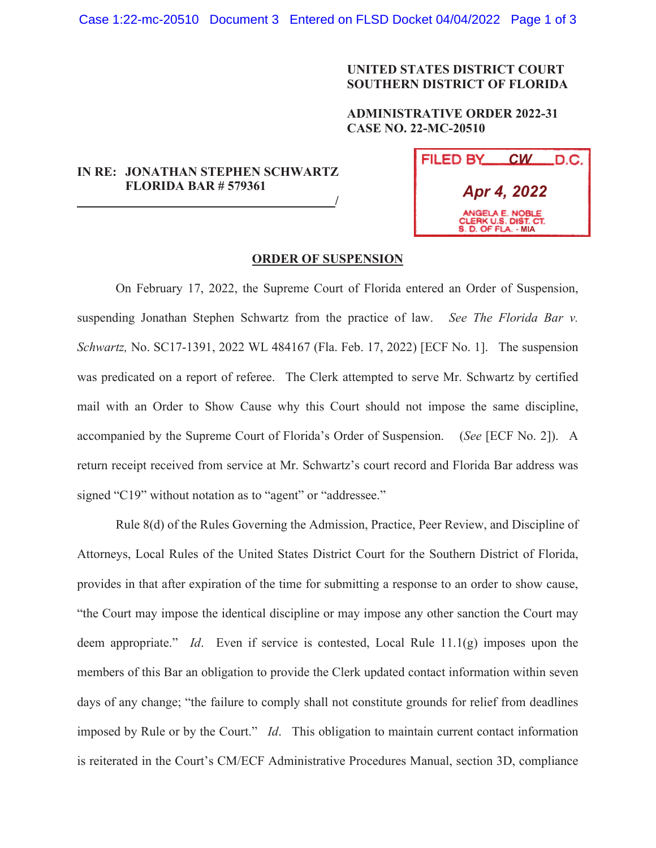## **UNITED STATES DISTRICT COURT SOUTHERN DISTRICT OF FLORIDA**

## **ADMINISTRATIVE ORDER 2022-31 CASE NO. 22-MC-20510**

## **IN RE: JONATHAN STEPHEN SCHWARTZ FLORIDA BAR # 579361 /**

| FILED BY<br>$\mathcal{C}W$<br>.D.C.                            |
|----------------------------------------------------------------|
| Apr 4, 2022                                                    |
| ANGELA E. NOBLE<br>CLERK U.S. DIST. CT.<br>S. D. OF FLA. - MIA |

## **ORDER OF SUSPENSION**

On February 17, 2022, the Supreme Court of Florida entered an Order of Suspension, suspending Jonathan Stephen Schwartz from the practice of law. *See The Florida Bar v. Schwartz,* No. SC17-1391, 2022 WL 484167 (Fla. Feb. 17, 2022) [ECF No. 1]. The suspension was predicated on a report of referee. The Clerk attempted to serve Mr. Schwartz by certified mail with an Order to Show Cause why this Court should not impose the same discipline, accompanied by the Supreme Court of Florida's Order of Suspension. (*See* [ECF No. 2]). A return receipt received from service at Mr. Schwartz's court record and Florida Bar address was signed "C19" without notation as to "agent" or "addressee."

Rule 8(d) of the Rules Governing the Admission, Practice, Peer Review, and Discipline of Attorneys, Local Rules of the United States District Court for the Southern District of Florida, provides in that after expiration of the time for submitting a response to an order to show cause, "the Court may impose the identical discipline or may impose any other sanction the Court may deem appropriate." *Id*. Even if service is contested, Local Rule 11.1(g) imposes upon the members of this Bar an obligation to provide the Clerk updated contact information within seven days of any change; "the failure to comply shall not constitute grounds for relief from deadlines imposed by Rule or by the Court." *Id*. This obligation to maintain current contact information is reiterated in the Court's CM/ECF Administrative Procedures Manual, section 3D, compliance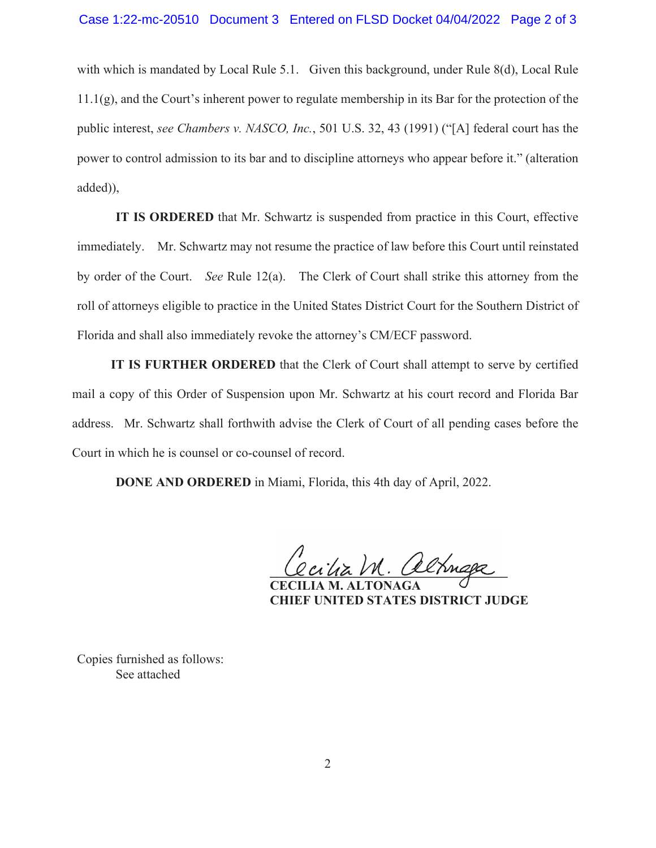with which is mandated by Local Rule 5.1. Given this background, under Rule 8(d), Local Rule  $11.1(g)$ , and the Court's inherent power to regulate membership in its Bar for the protection of the public interest, *see Chambers v. NASCO, Inc.*, 501 U.S. 32, 43 (1991) ("[A] federal court has the power to control admission to its bar and to discipline attorneys who appear before it." (alteration added)),

**IT IS ORDERED** that Mr. Schwartz is suspended from practice in this Court, effective immediately. Mr. Schwartz may not resume the practice of law before this Court until reinstated by order of the Court. *See* Rule 12(a). The Clerk of Court shall strike this attorney from the roll of attorneys eligible to practice in the United States District Court for the Southern District of Florida and shall also immediately revoke the attorney's CM/ECF password.

**IT IS FURTHER ORDERED** that the Clerk of Court shall attempt to serve by certified mail a copy of this Order of Suspension upon Mr. Schwartz at his court record and Florida Bar address. Mr. Schwartz shall forthwith advise the Clerk of Court of all pending cases before the Court in which he is counsel or co-counsel of record.

**DONE AND ORDERED** in Miami, Florida, this 4th day of April, 2022.

 $\alpha$  )M. altmape

 **CECILIA M. ALTONAGA CHIEF UNITED STATES DISTRICT JUDGE** 

Copies furnished as follows: See attached